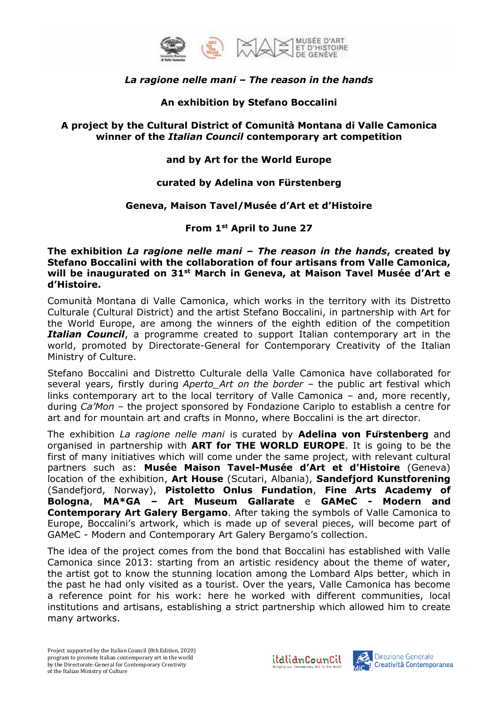

## *La ragione nelle mani – The reason in the hands*

## **An exhibition by Stefano Boccalini**

#### **A project by the Cultural District of Comunità Montana di Valle Camonica winner of the** *Italian Council* **contemporary art competition**

## **and by Art for the World Europe**

## **curated by Adelina von Fürstenberg**

#### **Geneva, Maison Tavel/Musée d'Art et d'Histoire**

# **From 1st April to June 27**

**The exhibition** *La ragione nelle mani – The reason in the hands***, created by Stefano Boccalini with the collaboration of four artisans from Valle Camonica, will be inaugurated on 31st March in Geneva, at Maison Tavel Musée d'Art e d'Histoire.**

Comunità Montana di Valle Camonica, which works in the territory with its Distretto Culturale (Cultural District) and the artist Stefano Boccalini, in partnership with Art for the World Europe, are among the winners of the eighth edition of the competition *Italian Council*, a programme created to support Italian contemporary art in the world, promoted by Directorate-General for Contemporary Creativity of the Italian Ministry of Culture.

Stefano Boccalini and Distretto Culturale della Valle Camonica have collaborated for several years, firstly during *Aperto\_Art on the border* – the public art festival which links contemporary art to the local territory of Valle Camonica – and, more recently, during *Ca'Mon* – the project sponsored by Fondazione Cariplo to establish a centre for art and for mountain art and crafts in Monno, where Boccalini is the art director.

The exhibition *La ragione nelle mani* is curated by **Adelina von Fürstenberg** and organised in partnership with **ART for THE WORLD EUROPE**. It is going to be the first of many initiatives which will come under the same project, with relevant cultural partners such as: **Musée Maison Tavel-Musée d'Art et d'Histoire** (Geneva) location of the exhibition, **Art House** (Scutari, Albania), **Sandefjord Kunstforening**  (Sandefjord, Norway), **Pistoletto Onlus Fundation**, **Fine Arts Academy of Bologna**, **MA\*GA – Art Museum Gallarate** e **GAMeC - Modern and Contemporary Art Galery Bergamo**. After taking the symbols of Valle Camonica to Europe, Boccalini's artwork, which is made up of several pieces, will become part of GAMeC - Modern and Contemporary Art Galery Bergamo's collection.

The idea of the project comes from the bond that Boccalini has established with Valle Camonica since 2013: starting from an artistic residency about the theme of water, the artist got to know the stunning location among the Lombard Alps better, which in the past he had only visited as a tourist. Over the years, Valle Camonica has become a reference point for his work: here he worked with different communities, local institutions and artisans, establishing a strict partnership which allowed him to create many artworks.



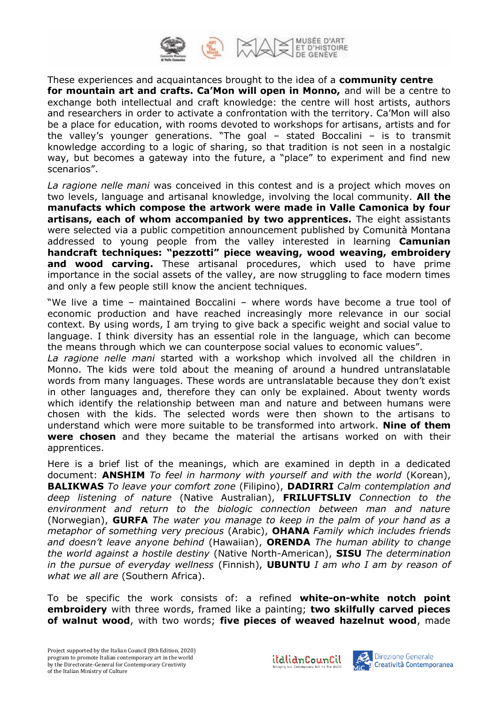

These experiences and acquaintances brought to the idea of a **community centre for mountain art and crafts. Ca'Mon will open in Monno,** and will be a centre to exchange both intellectual and craft knowledge: the centre will host artists, authors and researchers in order to activate a confrontation with the territory. Ca'Mon will also be a place for education, with rooms devoted to workshops for artisans, artists and for the valley's younger generations. "The goal – stated Boccalini – is to transmit knowledge according to a logic of sharing, so that tradition is not seen in a nostalgic way, but becomes a gateway into the future, a "place" to experiment and find new scenarios".

*La ragione nelle mani* was conceived in this contest and is a project which moves on two levels, language and artisanal knowledge, involving the local community. **All the manufacts which compose the artwork were made in Valle Camonica by four artisans, each of whom accompanied by two apprentices.** The eight assistants were selected via a public competition announcement published by Comunità Montana addressed to young people from the valley interested in learning **Camunian handcraft techniques: "pezzotti" piece weaving, wood weaving, embroidery and wood carving.** These artisanal procedures, which used to have prime importance in the social assets of the valley, are now struggling to face modern times and only a few people still know the ancient techniques.

"We live a time – maintained Boccalini – where words have become a true tool of economic production and have reached increasingly more relevance in our social context. By using words, I am trying to give back a specific weight and social value to language. I think diversity has an essential role in the language, which can become the means through which we can counterpose social values to economic values".

*La ragione nelle mani* started with a workshop which involved all the children in Monno. The kids were told about the meaning of around a hundred untranslatable words from many languages. These words are untranslatable because they don't exist in other languages and, therefore they can only be explained. About twenty words which identify the relationship between man and nature and between humans were chosen with the kids. The selected words were then shown to the artisans to understand which were more suitable to be transformed into artwork. **Nine of them were chosen** and they became the material the artisans worked on with their apprentices.

Here is a brief list of the meanings, which are examined in depth in a dedicated document: **ANSHIM** *To feel in harmony with yourself and with the world* (Korean), **BALIKWAS** *To leave your comfort zone* (Filipino), **DADIRRI** *Calm contemplation and deep listening of nature* (Native Australian), **FRILUFTSLIV** *Connection to the environment and return to the biologic connection between man and nature* (Norwegian), **GURFA** *The water you manage to keep in the palm of your hand as a metaphor of something very precious* (Arabic), **OHANA** *Family which includes friends and doesn't leave anyone behind* (Hawaiian), **ORENDA** *The human ability to change the world against a hostile destiny* (Native North-American), **SISU** *The determination in the pursue of everyday wellness* (Finnish), **UBUNTU** *I am who I am by reason of what we all are* (Southern Africa).

To be specific the work consists of: a refined **white-on-white notch point embroidery** with three words, framed like a painting; **two skilfully carved pieces of walnut wood**, with two words; **five pieces of weaved hazelnut wood**, made